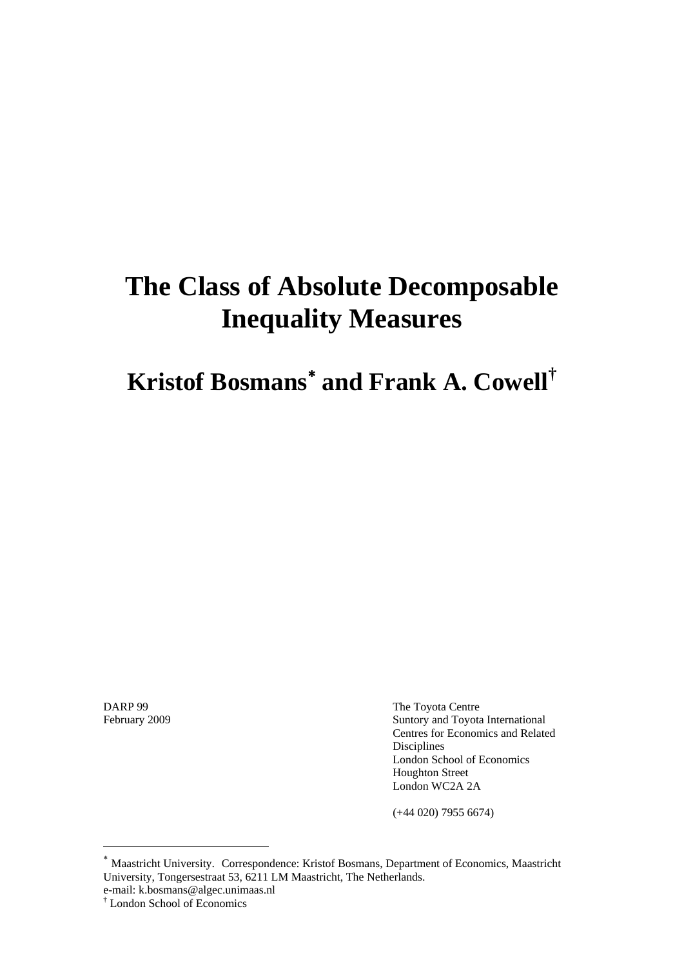# **The Class of Absolute Decomposable Inequality Measures**

# **Kristof Bosmans**<sup>∗</sup>  **and Frank A. Cowell†**

1

DARP 99 **The Toyota Centre** February 2009 Suntory and Toyota International Centres for Economics and Related Disciplines London School of Economics Houghton Street London WC2A 2A

(+44 020) 7955 6674)

<sup>∗</sup> Maastricht University. Correspondence: Kristof Bosmans, Department of Economics, Maastricht University, Tongersestraat 53, 6211 LM Maastricht, The Netherlands.

e-mail: k.bosmans@algec.unimaas.nl

<sup>†</sup> London School of Economics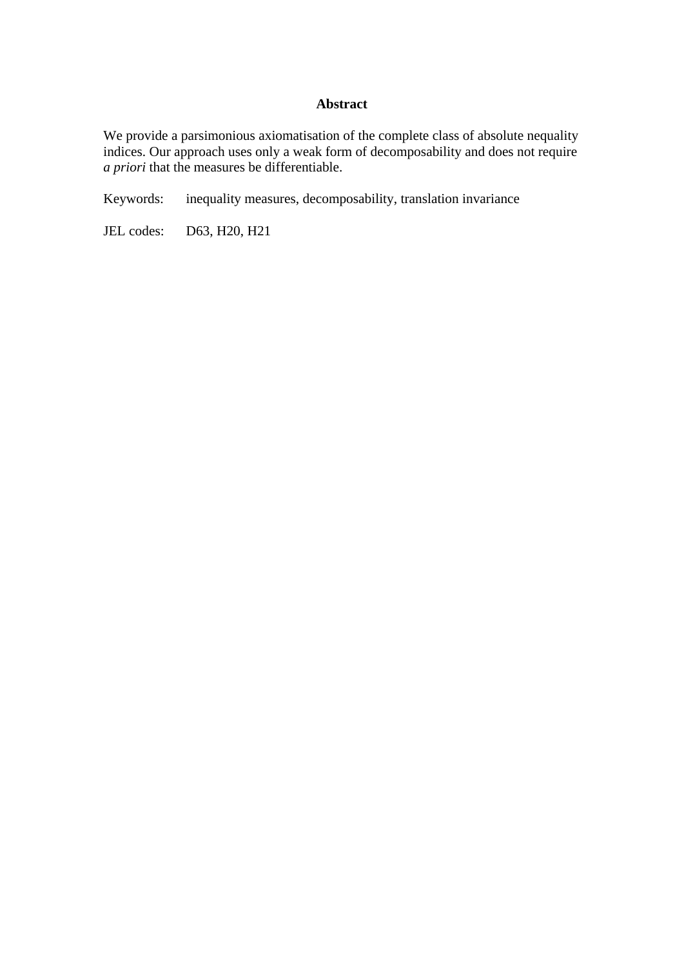## **Abstract**

We provide a parsimonious axiomatisation of the complete class of absolute nequality indices. Our approach uses only a weak form of decomposability and does not require *a priori* that the measures be differentiable.

Keywords: inequality measures, decomposability, translation invariance

JEL codes: D63, H20, H21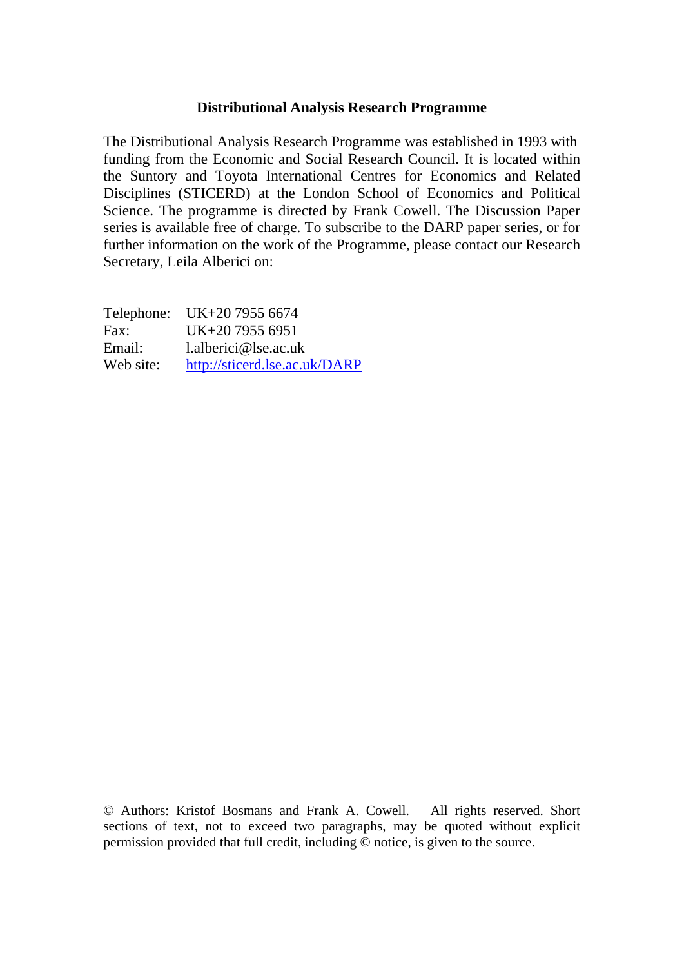## **Distributional Analysis Research Programme**

The Distributional Analysis Research Programme was established in 1993 with funding from the Economic and Social Research Council. It is located within the Suntory and Toyota International Centres for Economics and Related Disciplines (STICERD) at the London School of Economics and Political Science. The programme is directed by Frank Cowell. The Discussion Paper series is available free of charge. To subscribe to the DARP paper series, or for further information on the work of the Programme, please contact our Research Secretary, Leila Alberici on:

|           | Telephone: UK+20 7955 6674    |
|-----------|-------------------------------|
| Fax:      | UK+20 7955 6951               |
| Email:    | $l.$ alberici@lse.ac.uk       |
| Web site: | http://sticerd.lse.ac.uk/DARP |

© Authors: Kristof Bosmans and Frank A. Cowell. All rights reserved. Short sections of text, not to exceed two paragraphs, may be quoted without explicit permission provided that full credit, including © notice, is given to the source.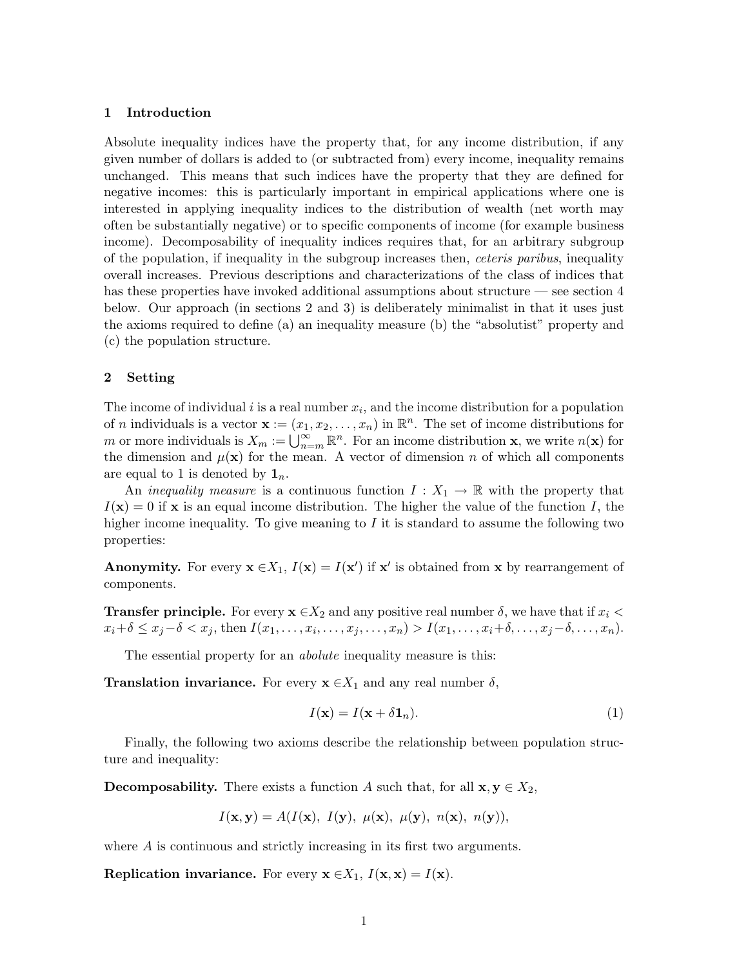### 1 Introduction

Absolute inequality indices have the property that, for any income distribution, if any given number of dollars is added to (or subtracted from) every income, inequality remains unchanged. This means that such indices have the property that they are defined for negative incomes: this is particularly important in empirical applications where one is interested in applying inequality indices to the distribution of wealth (net worth may often be substantially negative) or to specific components of income (for example business income). Decomposability of inequality indices requires that, for an arbitrary subgroup of the population, if inequality in the subgroup increases then, ceteris paribus, inequality overall increases. Previous descriptions and characterizations of the class of indices that has these properties have invoked additional assumptions about structure — see section 4 below. Our approach (in sections 2 and 3) is deliberately minimalist in that it uses just the axioms required to define (a) an inequality measure (b) the "absolutist" property and (c) the population structure.

#### 2 Setting

The income of individual  $i$  is a real number  $x_i$ , and the income distribution for a population of *n* individuals is a vector  $\mathbf{x} := (x_1, x_2, \dots, x_n)$  in  $\mathbb{R}^n$ . The set of income distributions for m or more individuals is  $X_m := \bigcup_{n=m}^{\infty} \mathbb{R}^n$ . For an income distribution **x**, we write  $n(\mathbf{x})$  for the dimension and  $\mu(\mathbf{x})$  for the mean. A vector of dimension n of which all components are equal to 1 is denoted by  $\mathbf{1}_n$ .

An *inequality measure* is a continuous function  $I: X_1 \to \mathbb{R}$  with the property that  $I(\mathbf{x}) = 0$  if **x** is an equal income distribution. The higher the value of the function I, the higher income inequality. To give meaning to  $I$  it is standard to assume the following two properties:

**Anonymity.** For every  $\mathbf{x} \in X_1$ ,  $I(\mathbf{x}) = I(\mathbf{x}')$  if  $\mathbf{x}'$  is obtained from  $\mathbf{x}$  by rearrangement of components.

**Transfer principle.** For every  $x \in X_2$  and any positive real number  $\delta$ , we have that if  $x_i$  $x_i+\delta \leq x_j-\delta < x_j$ , then  $I(x_1,\ldots,x_i,\ldots,x_j,\ldots,x_n) > I(x_1,\ldots,x_i+\delta,\ldots,x_j-\delta,\ldots,x_n)$ .

The essential property for an *abolute* inequality measure is this:

**Translation invariance.** For every  $x \in X_1$  and any real number  $\delta$ ,

$$
I(\mathbf{x}) = I(\mathbf{x} + \delta \mathbf{1}_n). \tag{1}
$$

Finally, the following two axioms describe the relationship between population structure and inequality:

**Decomposability.** There exists a function A such that, for all  $x, y \in X_2$ ,

$$
I(\mathbf{x}, \mathbf{y}) = A(I(\mathbf{x}), I(\mathbf{y}), \mu(\mathbf{x}), \mu(\mathbf{y}), n(\mathbf{x}), n(\mathbf{y})),
$$

where A is continuous and strictly increasing in its first two arguments.

Replication invariance. For every  $x \in X_1$ ,  $I(x, x) = I(x)$ .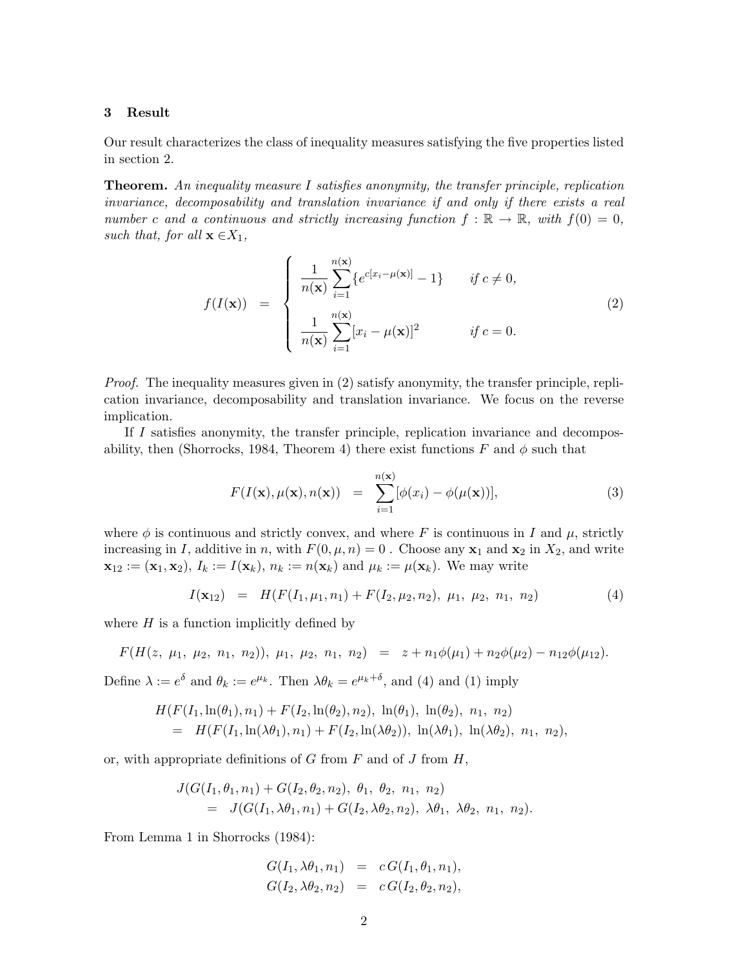### 3 Result

Our result characterizes the class of inequality measures satisfying the five properties listed in section 2.

**Theorem.** An inequality measure I satisfies anonymity, the transfer principle, replication invariance, decomposability and translation invariance if and only if there exists a real number c and a continuous and strictly increasing function  $f : \mathbb{R} \to \mathbb{R}$ , with  $f(0) = 0$ , such that, for all  $\mathbf{x} \in X_1$ ,

$$
f(I(\mathbf{x})) = \begin{cases} \frac{1}{n(\mathbf{x})} \sum_{i=1}^{n(\mathbf{x})} \{e^{c[x_i - \mu(\mathbf{x})]} - 1\} & \text{if } c \neq 0, \\ \frac{1}{n(\mathbf{x})} \sum_{i=1}^{n(\mathbf{x})} [x_i - \mu(\mathbf{x})]^2 & \text{if } c = 0. \end{cases} \tag{2}
$$

Proof. The inequality measures given in (2) satisfy anonymity, the transfer principle, replication invariance, decomposability and translation invariance. We focus on the reverse implication.

If I satisfies anonymity, the transfer principle, replication invariance and decomposability, then (Shorrocks, 1984, Theorem 4) there exist functions  $F$  and  $\phi$  such that

$$
F(I(\mathbf{x}), \mu(\mathbf{x}), n(\mathbf{x})) = \sum_{i=1}^{n(\mathbf{x})} [\phi(x_i) - \phi(\mu(\mathbf{x}))], \qquad (3)
$$

where  $\phi$  is continuous and strictly convex, and where F is continuous in I and  $\mu$ , strictly increasing in I, additive in n, with  $F(0, \mu, n) = 0$ . Choose any  $\mathbf{x}_1$  and  $\mathbf{x}_2$  in  $X_2$ , and write  $\mathbf{x}_{12} := (\mathbf{x}_1, \mathbf{x}_2), I_k := I(\mathbf{x}_k), n_k := n(\mathbf{x}_k)$  and  $\mu_k := \mu(\mathbf{x}_k)$ . We may write

$$
I(\mathbf{x}_{12}) = H(F(I_1, \mu_1, n_1) + F(I_2, \mu_2, n_2), \ \mu_1, \ \mu_2, \ n_1, \ n_2)
$$
 (4)

where  $H$  is a function implicitly defined by

$$
F(H(z, \mu_1, \mu_2, n_1, n_2)), \mu_1, \mu_2, n_1, n_2) = z + n_1 \phi(\mu_1) + n_2 \phi(\mu_2) - n_{12} \phi(\mu_1_2).
$$

Define  $\lambda := e^{\delta}$  and  $\theta_k := e^{\mu_k}$ . Then  $\lambda \theta_k = e^{\mu_k + \delta}$ , and (4) and (1) imply

$$
H(F(I_1, \ln(\theta_1), n_1) + F(I_2, \ln(\theta_2), n_2), \ \ln(\theta_1), \ \ln(\theta_2), \ n_1, \ n_2)
$$
  
=  $H(F(I_1, \ln(\lambda \theta_1), n_1) + F(I_2, \ln(\lambda \theta_2)), \ \ln(\lambda \theta_1), \ \ln(\lambda \theta_2), \ n_1, \ n_2),$ 

or, with appropriate definitions of  $G$  from  $F$  and of  $J$  from  $H$ ,

$$
J(G(I_1, \theta_1, n_1) + G(I_2, \theta_2, n_2), \theta_1, \theta_2, n_1, n_2)
$$
  
= 
$$
J(G(I_1, \lambda \theta_1, n_1) + G(I_2, \lambda \theta_2, n_2), \lambda \theta_1, \lambda \theta_2, n_1, n_2).
$$

From Lemma 1 in Shorrocks (1984):

$$
G(I_1, \lambda \theta_1, n_1) = c G(I_1, \theta_1, n_1),
$$
  
\n
$$
G(I_2, \lambda \theta_2, n_2) = c G(I_2, \theta_2, n_2),
$$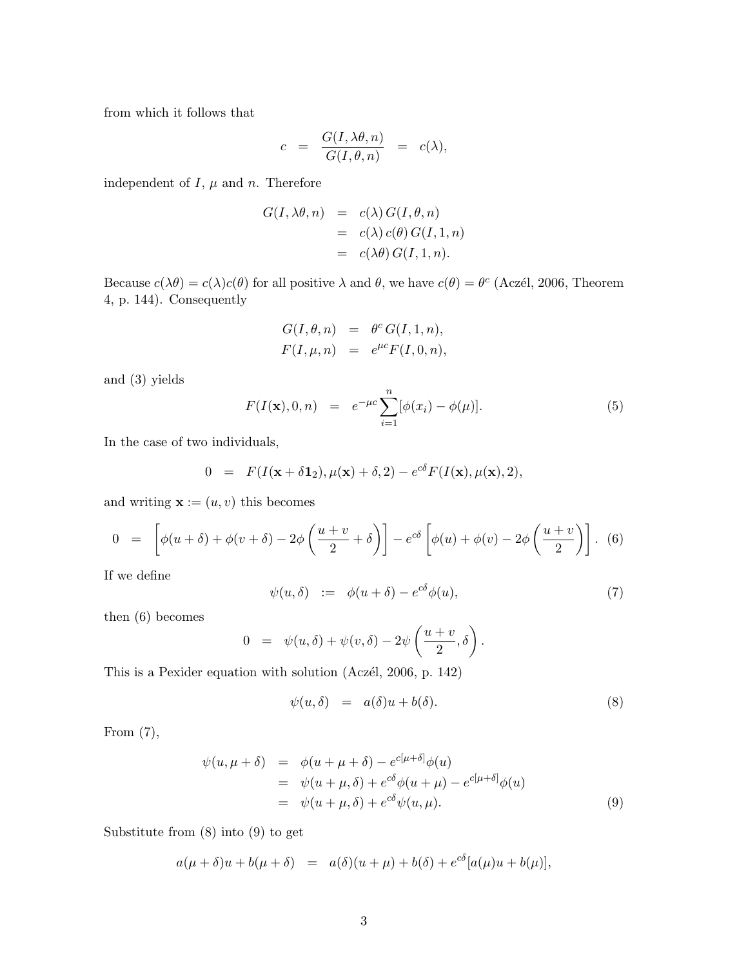from which it follows that

$$
c = \frac{G(I, \lambda \theta, n)}{G(I, \theta, n)} = c(\lambda),
$$

independent of  $I, \mu$  and  $n$ . Therefore

$$
G(I, \lambda \theta, n) = c(\lambda) G(I, \theta, n)
$$
  
= c(\lambda) c(\theta) G(I, 1, n)  
= c(\lambda \theta) G(I, 1, n).

Because  $c(\lambda \theta) = c(\lambda)c(\theta)$  for all positive  $\lambda$  and  $\theta$ , we have  $c(\theta) = \theta^c$  (Aczél, 2006, Theorem 4, p. 144). Consequently

$$
G(I, \theta, n) = \theta^c G(I, 1, n),
$$
  

$$
F(I, \mu, n) = e^{\mu c} F(I, 0, n),
$$

and (3) yields

$$
F(I(\mathbf{x}), 0, n) = e^{-\mu c} \sum_{i=1}^{n} [\phi(x_i) - \phi(\mu)].
$$
\n(5)

In the case of two individuals,

$$
0 = F(I(\mathbf{x} + \delta \mathbf{1}_2), \mu(\mathbf{x}) + \delta, 2) - e^{c\delta} F(I(\mathbf{x}), \mu(\mathbf{x}), 2),
$$

and writing  $\mathbf{x} := (u, v)$  this becomes

$$
0 = \left[ \phi(u+\delta) + \phi(v+\delta) - 2\phi\left(\frac{u+v}{2} + \delta\right) \right] - e^{c\delta} \left[ \phi(u) + \phi(v) - 2\phi\left(\frac{u+v}{2}\right) \right].
$$
 (6)

If we define

$$
\psi(u,\delta) := \phi(u+\delta) - e^{c\delta}\phi(u), \tag{7}
$$

then (6) becomes

$$
0 = \psi(u,\delta) + \psi(v,\delta) - 2\psi\left(\frac{u+v}{2},\delta\right).
$$

This is a Pexider equation with solution (Aczél, 2006, p. 142)

$$
\psi(u,\delta) = a(\delta)u + b(\delta). \tag{8}
$$

From (7),

$$
\psi(u, \mu + \delta) = \phi(u + \mu + \delta) - e^{c[\mu + \delta]} \phi(u)
$$
  
\n
$$
= \psi(u + \mu, \delta) + e^{c\delta} \phi(u + \mu) - e^{c[\mu + \delta]} \phi(u)
$$
  
\n
$$
= \psi(u + \mu, \delta) + e^{c\delta} \psi(u, \mu).
$$
\n(9)

Substitute from (8) into (9) to get

$$
a(\mu + \delta)u + b(\mu + \delta) = a(\delta)(u + \mu) + b(\delta) + e^{c\delta}[a(\mu)u + b(\mu)],
$$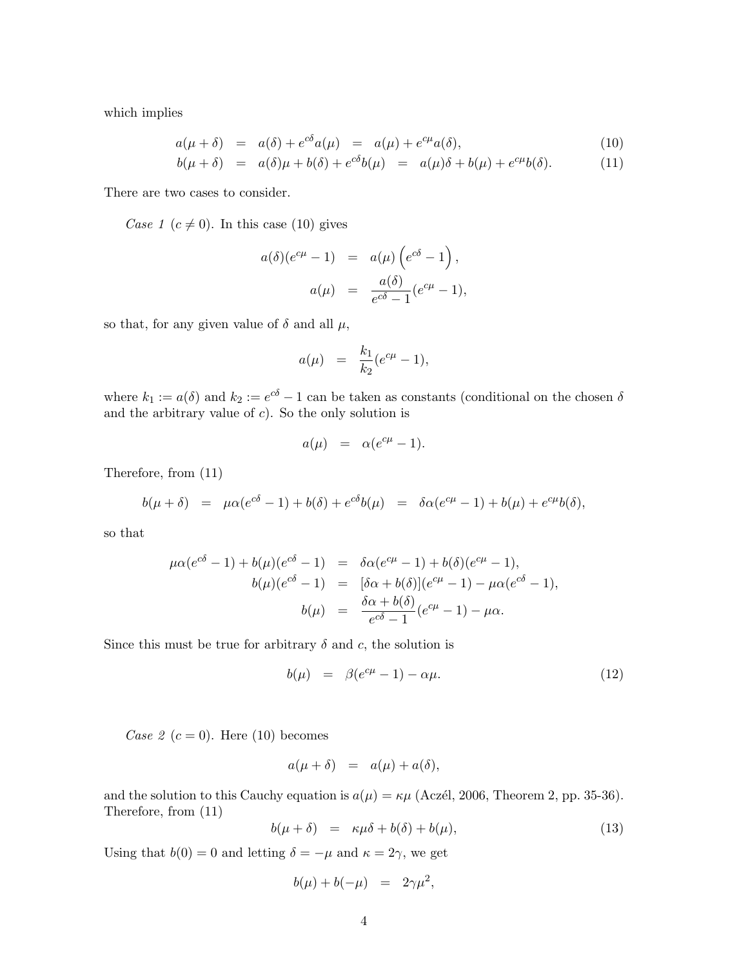which implies

$$
a(\mu + \delta) = a(\delta) + e^{c\delta}a(\mu) = a(\mu) + e^{c\mu}a(\delta), \qquad (10)
$$

$$
b(\mu + \delta) = a(\delta)\mu + b(\delta) + e^{c\delta}b(\mu) = a(\mu)\delta + b(\mu) + e^{c\mu}b(\delta). \tag{11}
$$

There are two cases to consider.

Case 1 ( $c \neq 0$ ). In this case (10) gives

$$
a(\delta)(e^{c\mu}-1) = a(\mu)\left(e^{c\delta}-1\right),
$$
  

$$
a(\mu) = \frac{a(\delta)}{e^{c\delta}-1}(e^{c\mu}-1),
$$

so that, for any given value of  $\delta$  and all  $\mu$ ,

$$
a(\mu) = \frac{k_1}{k_2} (e^{c\mu} - 1),
$$

where  $k_1 := a(\delta)$  and  $k_2 := e^{c\delta} - 1$  can be taken as constants (conditional on the chosen  $\delta$ and the arbitrary value of  $c$ ). So the only solution is

$$
a(\mu) = \alpha(e^{c\mu} - 1).
$$

Therefore, from (11)

$$
b(\mu + \delta) = \mu \alpha (e^{c\delta} - 1) + b(\delta) + e^{c\delta} b(\mu) = \delta \alpha (e^{c\mu} - 1) + b(\mu) + e^{c\mu} b(\delta),
$$

so that

$$
\mu \alpha (e^{c\delta} - 1) + b(\mu)(e^{c\delta} - 1) = \delta \alpha (e^{c\mu} - 1) + b(\delta)(e^{c\mu} - 1), \nb(\mu)(e^{c\delta} - 1) = [\delta \alpha + b(\delta)](e^{c\mu} - 1) - \mu \alpha (e^{c\delta} - 1), \nb(\mu) = \frac{\delta \alpha + b(\delta)}{e^{c\delta} - 1}(e^{c\mu} - 1) - \mu \alpha.
$$

Since this must be true for arbitrary  $\delta$  and  $c$ , the solution is

$$
b(\mu) = \beta(e^{c\mu} - 1) - \alpha\mu. \tag{12}
$$

Case 2 ( $c = 0$ ). Here (10) becomes

$$
a(\mu + \delta) = a(\mu) + a(\delta),
$$

and the solution to this Cauchy equation is  $a(\mu) = \kappa \mu$  (Aczél, 2006, Theorem 2, pp. 35-36). Therefore, from (11)

$$
b(\mu + \delta) = \kappa \mu \delta + b(\delta) + b(\mu), \tag{13}
$$

Using that  $b(0) = 0$  and letting  $\delta = -\mu$  and  $\kappa = 2\gamma$ , we get

$$
b(\mu) + b(-\mu) = 2\gamma\mu^2,
$$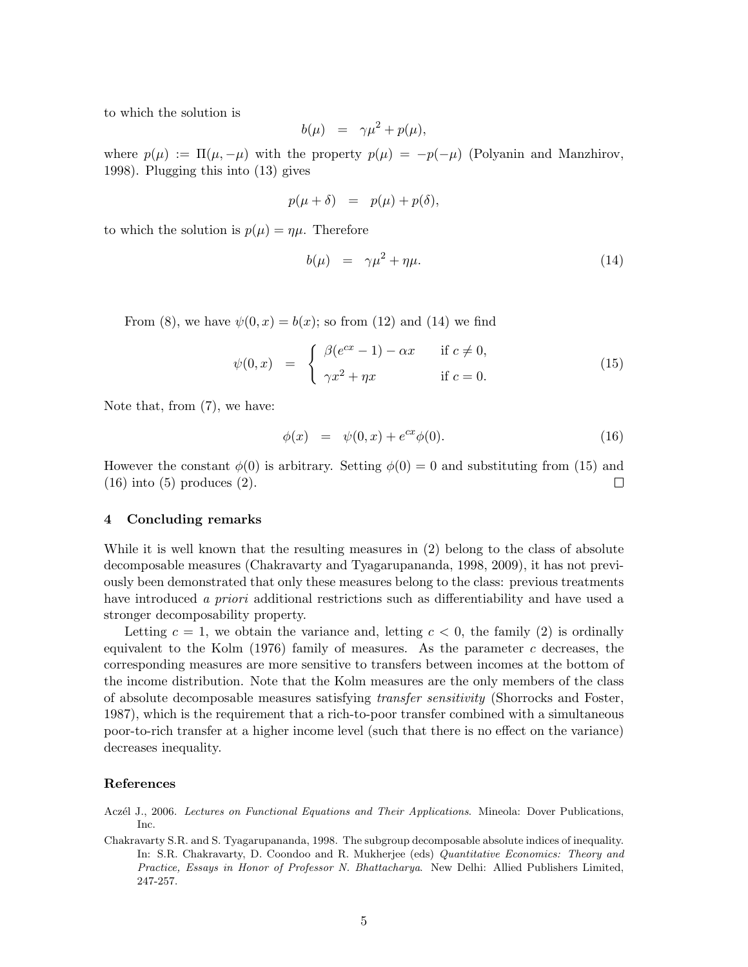to which the solution is

$$
b(\mu) = \gamma \mu^2 + p(\mu),
$$

where  $p(\mu) := \Pi(\mu, -\mu)$  with the property  $p(\mu) = -p(-\mu)$  (Polyanin and Manzhirov, 1998). Plugging this into (13) gives

$$
p(\mu + \delta) = p(\mu) + p(\delta),
$$

to which the solution is  $p(\mu) = \eta \mu$ . Therefore

$$
b(\mu) = \gamma \mu^2 + \eta \mu. \tag{14}
$$

From (8), we have  $\psi(0, x) = b(x)$ ; so from (12) and (14) we find

$$
\psi(0,x) = \begin{cases} \beta(e^{cx} - 1) - \alpha x & \text{if } c \neq 0, \\ \gamma x^2 + \eta x & \text{if } c = 0. \end{cases}
$$
\n(15)

Note that, from (7), we have:

$$
\phi(x) = \psi(0, x) + e^{cx} \phi(0). \tag{16}
$$

However the constant  $\phi(0)$  is arbitrary. Setting  $\phi(0) = 0$  and substituting from (15) and (16) into (5) produces (2).  $\Box$ 

#### 4 Concluding remarks

While it is well known that the resulting measures in (2) belong to the class of absolute decomposable measures (Chakravarty and Tyagarupananda, 1998, 2009), it has not previously been demonstrated that only these measures belong to the class: previous treatments have introduced a priori additional restrictions such as differentiability and have used a stronger decomposability property.

Letting  $c = 1$ , we obtain the variance and, letting  $c < 0$ , the family (2) is ordinally equivalent to the Kolm  $(1976)$  family of measures. As the parameter c decreases, the corresponding measures are more sensitive to transfers between incomes at the bottom of the income distribution. Note that the Kolm measures are the only members of the class of absolute decomposable measures satisfying transfer sensitivity (Shorrocks and Foster, 1987), which is the requirement that a rich-to-poor transfer combined with a simultaneous poor-to-rich transfer at a higher income level (such that there is no effect on the variance) decreases inequality.

### References

Aczél J., 2006. Lectures on Functional Equations and Their Applications. Mineola: Dover Publications, Inc.

Chakravarty S.R. and S. Tyagarupananda, 1998. The subgroup decomposable absolute indices of inequality. In: S.R. Chakravarty, D. Coondoo and R. Mukherjee (eds) Quantitative Economics: Theory and Practice, Essays in Honor of Professor N. Bhattacharya. New Delhi: Allied Publishers Limited, 247-257.